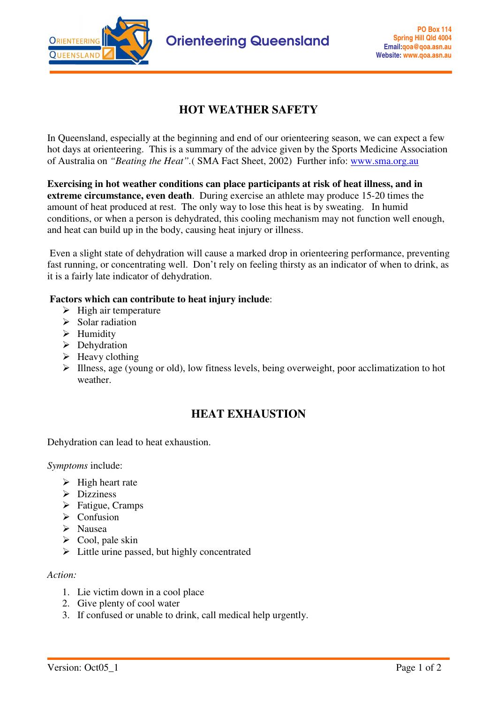

## **HOT WEATHER SAFETY**

In Queensland, especially at the beginning and end of our orienteering season, we can expect a few hot days at orienteering. This is a summary of the advice given by the Sports Medicine Association of Australia on *"Beating the Heat".*( SMA Fact Sheet, 2002) Further info: www.sma.org.au

**Exercising in hot weather conditions can place participants at risk of heat illness, and in extreme circumstance, even death**. During exercise an athlete may produce 15-20 times the amount of heat produced at rest. The only way to lose this heat is by sweating. In humid conditions, or when a person is dehydrated, this cooling mechanism may not function well enough, and heat can build up in the body, causing heat injury or illness.

Even a slight state of dehydration will cause a marked drop in orienteering performance, preventing fast running, or concentrating well. Don't rely on feeling thirsty as an indicator of when to drink, as it is a fairly late indicator of dehydration.

### **Factors which can contribute to heat injury include**:

- $\triangleright$  High air temperature
- $\triangleright$  Solar radiation
- $\triangleright$  Humidity
- $\triangleright$  Dehydration
- $\blacktriangleright$  Heavy clothing
- $\triangleright$  Illness, age (young or old), low fitness levels, being overweight, poor acclimatization to hot weather.

# **HEAT EXHAUSTION**

Dehydration can lead to heat exhaustion.

*Symptoms* include:

- $\triangleright$  High heart rate
- $\triangleright$  Dizziness
- $\triangleright$  Fatigue, Cramps
- $\triangleright$  Confusion
- Nausea
- $\triangleright$  Cool, pale skin
- $\triangleright$  Little urine passed, but highly concentrated

#### *Action:*

- 1. Lie victim down in a cool place
- 2. Give plenty of cool water
- 3. If confused or unable to drink, call medical help urgently.